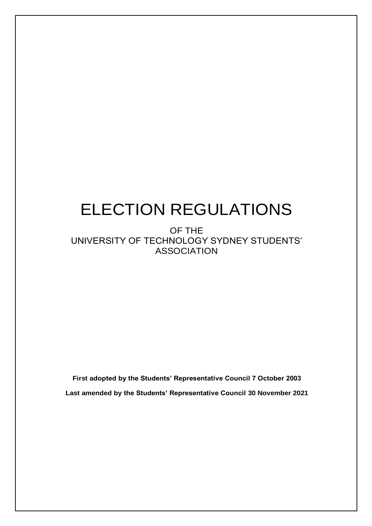# ELECTION REGULATIONS

OF THE UNIVERSITY OF TECHNOLOGY SYDNEY STUDENTS' ASSOCIATION

**First adopted by the Students' Representative Council 7 October 2003 Last amended by the Students' Representative Council 30 November 2021**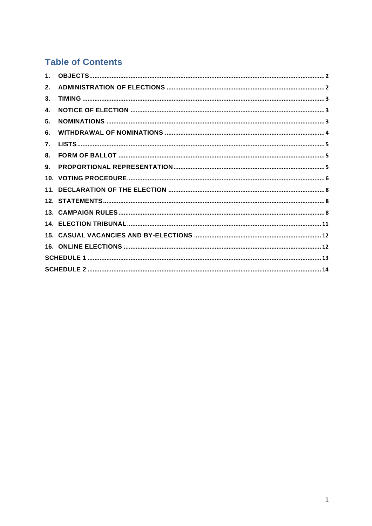# **Table of Contents**

| 2. |  |
|----|--|
| 3. |  |
| 4. |  |
| 5. |  |
| 6. |  |
| 7. |  |
| 8. |  |
| 9. |  |
|    |  |
|    |  |
|    |  |
|    |  |
|    |  |
|    |  |
|    |  |
|    |  |
|    |  |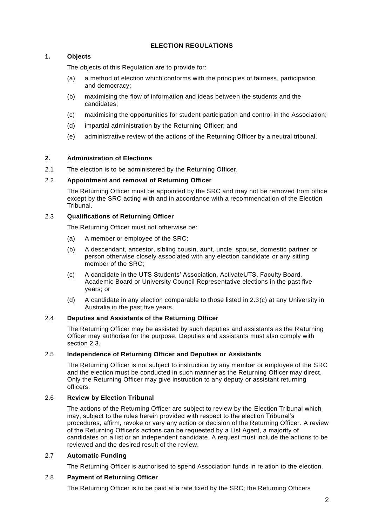# **ELECTION REGULATIONS**

# <span id="page-2-0"></span>**1. Objects**

The objects of this Regulation are to provide for:

- (a) a method of election which conforms with the principles of fairness, participation and democracy;
- (b) maximising the flow of information and ideas between the students and the candidates;
- (c) maximising the opportunities for student participation and control in the Association;
- (d) impartial administration by the Returning Officer; and
- (e) administrative review of the actions of the Returning Officer by a neutral tribunal.

# <span id="page-2-1"></span>**2. Administration of Elections**

2.1 The election is to be administered by the Returning Officer.

# 2.2 **Appointment and removal of Returning Officer**

The Returning Officer must be appointed by the SRC and may not be removed from office except by the SRC acting with and in accordance with a recommendation of the Election Tribunal.

# 2.3 **Qualifications of Returning Officer**

The Returning Officer must not otherwise be:

- (a) A member or employee of the SRC;
- (b) A descendant, ancestor, sibling cousin, aunt, uncle, spouse, domestic partner or person otherwise closely associated with any election candidate or any sitting member of the SRC;
- (c) A candidate in the UTS Students' Association, ActivateUTS, Faculty Board, Academic Board or University Council Representative elections in the past five years; or
- (d) A candidate in any election comparable to those listed in 2.3(c) at any University in Australia in the past five years.

# 2.4 **Deputies and Assistants of the Returning Officer**

The Returning Officer may be assisted by such deputies and assistants as the Returning Officer may authorise for the purpose. Deputies and assistants must also comply with section 2.3.

# 2.5 **Independence of Returning Officer and Deputies or Assistants**

The Returning Officer is not subject to instruction by any member or employee of the SRC and the election must be conducted in such manner as the Returning Officer may direct. Only the Returning Officer may give instruction to any deputy or assistant returning officers.

# 2.6 **Review by Election Tribunal**

The actions of the Returning Officer are subject to review by the Election Tribunal which may, subject to the rules herein provided with respect to the election Tribunal's procedures, affirm, revoke or vary any action or decision of the Returning Officer. A review of the Returning Officer's actions can be requested by a List Agent, a majority of candidates on a list or an independent candidate. A request must include the actions to be reviewed and the desired result of the review.

# 2.7 **Automatic Funding**

The Returning Officer is authorised to spend Association funds in relation to the election.

# 2.8 **Payment of Returning Officer**.

The Returning Officer is to be paid at a rate fixed by the SRC; the Returning Officers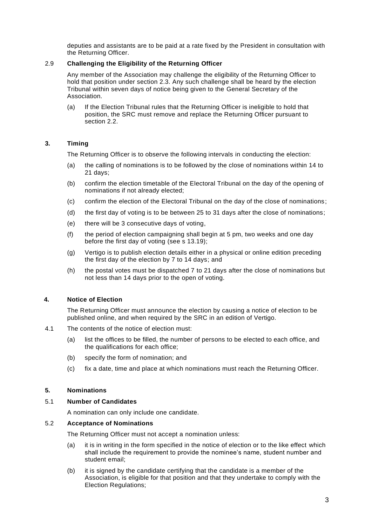deputies and assistants are to be paid at a rate fixed by the President in consultation with the Returning Officer.

# 2.9 **Challenging the Eligibility of the Returning Officer**

Any member of the Association may challenge the eligibility of the Returning Officer to hold that position under section 2.3. Any such challenge shall be heard by the election Tribunal within seven days of notice being given to the General Secretary of the Association.

(a) If the Election Tribunal rules that the Returning Officer is ineligible to hold that position, the SRC must remove and replace the Returning Officer pursuant to section 2.2.

# <span id="page-3-0"></span>**3. Timing**

The Returning Officer is to observe the following intervals in conducting the election:

- (a) the calling of nominations is to be followed by the close of nominations within 14 to 21 days;
- (b) confirm the election timetable of the Electoral Tribunal on the day of the opening of nominations if not already elected;
- (c) confirm the election of the Electoral Tribunal on the day of the close of nominations;
- (d) the first day of voting is to be between 25 to 31 days after the close of nominations;
- (e) there will be 3 consecutive days of voting,
- (f) the period of election campaigning shall begin at 5 pm, two weeks and one day before the first day of voting (see s 13.19);
- (g) Vertigo is to publish election details either in a physical or online edition preceding the first day of the election by 7 to 14 days; and
- (h) the postal votes must be dispatched 7 to 21 days after the close of nominations but not less than 14 days prior to the open of voting.

# <span id="page-3-1"></span>**4. Notice of Election**

The Returning Officer must announce the election by causing a notice of election to be published online, and when required by the SRC in an edition of Vertigo.

- 4.1 The contents of the notice of election must:
	- (a) list the offices to be filled, the number of persons to be elected to each office, and the qualifications for each office;
	- (b) specify the form of nomination; and
	- (c) fix a date, time and place at which nominations must reach the Returning Officer.

# <span id="page-3-2"></span>**5. Nominations**

# 5.1 **Number of Candidates**

A nomination can only include one candidate.

# 5.2 **Acceptance of Nominations**

The Returning Officer must not accept a nomination unless:

- (a) it is in writing in the form specified in the notice of election or to the like effect which shall include the requirement to provide the nominee's name, student number and student email;
- (b) it is signed by the candidate certifying that the candidate is a member of the Association, is eligible for that position and that they undertake to comply with the Election Regulations;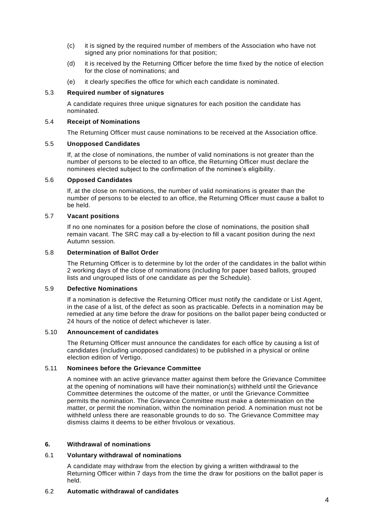- (c) it is signed by the required number of members of the Association who have not signed any prior nominations for that position;
- (d) it is received by the Returning Officer before the time fixed by the notice of election for the close of nominations; and
- (e) it clearly specifies the office for which each candidate is nominated.

#### 5.3 **Required number of signatures**

A candidate requires three unique signatures for each position the candidate has nominated.

#### 5.4 **Receipt of Nominations**

The Returning Officer must cause nominations to be received at the Association office.

#### 5.5 **Unopposed Candidates**

If, at the close of nominations, the number of valid nominations is not greater than the number of persons to be elected to an office, the Returning Officer must declare the nominees elected subject to the confirmation of the nominee's eligibility.

#### 5.6 **Opposed Candidates**

If, at the close on nominations, the number of valid nominations is greater than the number of persons to be elected to an office, the Returning Officer must cause a ballot to be held.

# 5.7 **Vacant positions**

If no one nominates for a position before the close of nominations, the position shall remain vacant. The SRC may call a by-election to fill a vacant position during the next Autumn session.

#### 5.8 **Determination of Ballot Order**

The Returning Officer is to determine by lot the order of the candidates in the ballot within 2 working days of the close of nominations (including for paper based ballots, grouped lists and ungrouped lists of one candidate as per the Schedule).

#### 5.9 **Defective Nominations**

If a nomination is defective the Returning Officer must notify the candidate or List Agent, in the case of a list, of the defect as soon as practicable. Defects in a nomination may be remedied at any time before the draw for positions on the ballot paper being conducted or 24 hours of the notice of defect whichever is later.

#### 5.10 **Announcement of candidates**

The Returning Officer must announce the candidates for each office by causing a list of candidates (including unopposed candidates) to be published in a physical or online election edition of Vertigo.

# 5.11 **Nominees before the Grievance Committee**

A nominee with an active grievance matter against them before the Grievance Committee at the opening of nominations will have their nomination(s) withheld until the Grievance Committee determines the outcome of the matter, or until the Grievance Committee permits the nomination. The Grievance Committee must make a determination on the matter, or permit the nomination, within the nomination period. A nomination must not be withheld unless there are reasonable grounds to do so. The Grievance Committee may dismiss claims it deems to be either frivolous or vexatious.

# <span id="page-4-0"></span>**6. Withdrawal of nominations**

# 6.1 **Voluntary withdrawal of nominations**

A candidate may withdraw from the election by giving a written withdrawal to the Returning Officer within 7 days from the time the draw for positions on the ballot paper is held.

# 6.2 **Automatic withdrawal of candidates**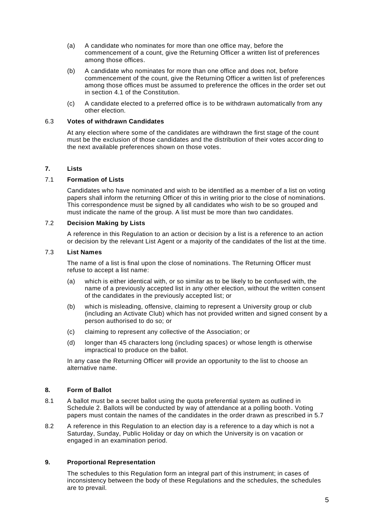- (a) A candidate who nominates for more than one office may, before the commencement of a count, give the Returning Officer a written list of preferences among those offices.
- (b) A candidate who nominates for more than one office and does not, before commencement of the count, give the Returning Officer a written list of preferences among those offices must be assumed to preference the offices in the order set out in section 4.1 of the Constitution.
- (c) A candidate elected to a preferred office is to be withdrawn automatically from any other election.

# 6.3 **Votes of withdrawn Candidates**

At any election where some of the candidates are withdrawn the first stage of the count must be the exclusion of those candidates and the distribution of their votes according to the next available preferences shown on those votes.

# <span id="page-5-0"></span>**7. Lists**

#### 7.1 **Formation of Lists**

Candidates who have nominated and wish to be identified as a member of a list on voting papers shall inform the returning Officer of this in writing prior to the close of nominations. This correspondence must be signed by all candidates who wish to be so grouped and must indicate the name of the group. A list must be more than two candidates.

# 7.2 **Decision Making by Lists**

A reference in this Regulation to an action or decision by a list is a reference to an action or decision by the relevant List Agent or a majority of the candidates of the list at the time.

#### 7.3 **List Names**

The name of a list is final upon the close of nominations. The Returning Officer must refuse to accept a list name:

- (a) which is either identical with, or so similar as to be likely to be confused with, the name of a previously accepted list in any other election, without the written consent of the candidates in the previously accepted list; or
- (b) which is misleading, offensive, claiming to represent a University group or club (including an Activate Club) which has not provided written and signed consent by a person authorised to do so; or
- (c) claiming to represent any collective of the Association; or
- (d) longer than 45 characters long (including spaces) or whose length is otherwise impractical to produce on the ballot.

In any case the Returning Officer will provide an opportunity to the list to choose an alternative name.

#### <span id="page-5-1"></span>**8. Form of Ballot**

- 8.1 A ballot must be a secret ballot using the quota preferential system as outlined in Schedule 2. Ballots will be conducted by way of attendance at a polling booth. Voting papers must contain the names of the candidates in the order drawn as prescribed in 5.7
- 8.2 A reference in this Regulation to an election day is a reference to a day which is not a Saturday, Sunday, Public Holiday or day on which the University is on vacation or engaged in an examination period.

# <span id="page-5-2"></span>**9. Proportional Representation**

The schedules to this Regulation form an integral part of this instrument; in cases of inconsistency between the body of these Regulations and the schedules, the schedules are to prevail.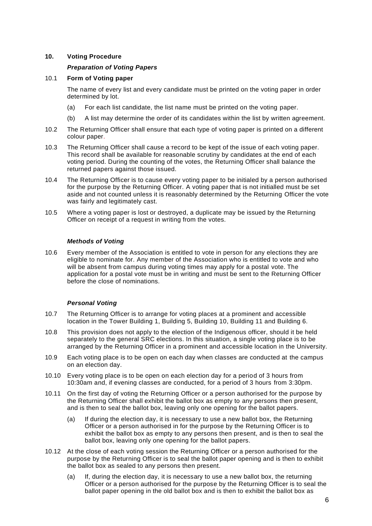# <span id="page-6-0"></span>**10. Voting Procedure**

# *Preparation of Voting Papers*

# 10.1 **Form of Voting paper**

The name of every list and every candidate must be printed on the voting paper in order determined by lot.

- (a) For each list candidate, the list name must be printed on the voting paper.
- (b) A list may determine the order of its candidates within the list by written agreement.
- 10.2 The Returning Officer shall ensure that each type of voting paper is printed on a different colour paper.
- 10.3 The Returning Officer shall cause a record to be kept of the issue of each voting paper. This record shall be available for reasonable scrutiny by candidates at the end of each voting period. During the counting of the votes, the Returning Officer shall balance the returned papers against those issued.
- 10.4 The Returning Officer is to cause every voting paper to be initialed by a person authorised for the purpose by the Returning Officer. A voting paper that is not initialled must be set aside and not counted unless it is reasonably determined by the Returning Officer the vote was fairly and legitimately cast.
- 10.5 Where a voting paper is lost or destroyed, a duplicate may be issued by the Returning Officer on receipt of a request in writing from the votes.

#### *Methods of Voting*

10.6 Every member of the Association is entitled to vote in person for any elections they are eligible to nominate for. Any member of the Association who is entitled to vote and who will be absent from campus during voting times may apply for a postal vote. The application for a postal vote must be in writing and must be sent to the Returning Officer before the close of nominations.

# *Personal Voting*

- 10.7 The Returning Officer is to arrange for voting places at a prominent and accessible location in the Tower Building 1, Building 5, Building 10, Building 11 and Building 6.
- 10.8 This provision does not apply to the election of the Indigenous officer, should it be held separately to the general SRC elections. In this situation, a single voting place is to be arranged by the Returning Officer in a prominent and accessible location in the University.
- 10.9 Each voting place is to be open on each day when classes are conducted at the campus on an election day.
- 10.10 Every voting place is to be open on each election day for a period of 3 hours from 10:30am and, if evening classes are conducted, for a period of 3 hours from 3:30pm.
- 10.11 On the first day of voting the Returning Officer or a person authorised for the purpose by the Returning Officer shall exhibit the ballot box as empty to any persons then present, and is then to seal the ballot box, leaving only one opening for the ballot papers.
	- (a) If during the election day, it is necessary to use a new ballot box, the Returning Officer or a person authorised in for the purpose by the Returning Officer is to exhibit the ballot box as empty to any persons then present, and is then to seal the ballot box, leaving only one opening for the ballot papers.
- 10.12 At the close of each voting session the Returning Officer or a person authorised for the purpose by the Returning Officer is to seal the ballot paper opening and is then to exhibit the ballot box as sealed to any persons then present.
	- (a) If, during the election day, it is necessary to use a new ballot box, the returning Officer or a person authorised for the purpose by the Returning Officer is to seal the ballot paper opening in the old ballot box and is then to exhibit the ballot box as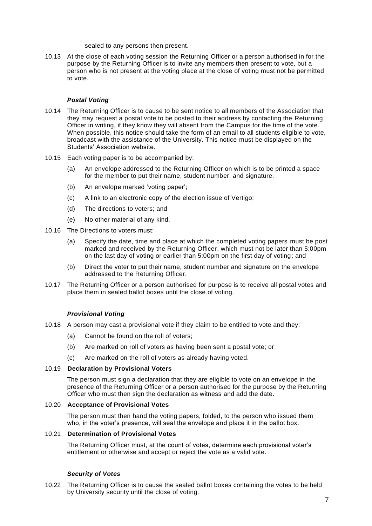sealed to any persons then present.

10.13 At the close of each voting session the Returning Officer or a person authorised in for the purpose by the Returning Officer is to invite any members then present to vote, but a person who is not present at the voting place at the close of voting must not be permitted to vote.

#### *Postal Voting*

- 10.14 The Returning Officer is to cause to be sent notice to all members of the Association that they may request a postal vote to be posted to their address by contacting the Returning Officer in writing, if they know they will absent from the Campus for the time of the vote. When possible, this notice should take the form of an email to all students eligible to vote, broadcast with the assistance of the University. This notice must be displayed on the Students' Association website.
- 10.15 Each voting paper is to be accompanied by:
	- (a) An envelope addressed to the Returning Officer on which is to be printed a space for the member to put their name, student number, and signature.
	- (b) An envelope marked 'voting paper';
	- (c) A link to an electronic copy of the election issue of Vertigo;
	- (d) The directions to voters; and
	- (e) No other material of any kind.
- 10.16 The Directions to voters must:
	- (a) Specify the date, time and place at which the completed voting papers must be post marked and received by the Returning Officer, which must not be later than 5:00pm on the last day of voting or earlier than 5:00pm on the first day of voting; and
	- (b) Direct the voter to put their name, student number and signature on the envelope addressed to the Returning Officer.
- 10.17 The Returning Officer or a person authorised for purpose is to receive all postal votes and place them in sealed ballot boxes until the close of voting.

# *Provisional Voting*

- 10.18 A person may cast a provisional vote if they claim to be entitled to vote and they:
	- (a) Cannot be found on the roll of voters;
	- (b) Are marked on roll of voters as having been sent a postal vote; or
	- (c) Are marked on the roll of voters as already having voted.

#### 10.19 **Declaration by Provisional Voters**

The person must sign a declaration that they are eligible to vote on an envelope in the presence of the Returning Officer or a person authorised for the purpose by the Returning Officer who must then sign the declaration as witness and add the date.

#### 10.20 **Acceptance of Provisional Votes**

The person must then hand the voting papers, folded, to the person who issued them who, in the voter's presence, will seal the envelope and place it in the ballot box.

# 10.21 **Determination of Provisional Votes**

The Returning Officer must, at the count of votes, determine each provisional voter's entitlement or otherwise and accept or reject the vote as a valid vote.

#### *Security of Votes*

10.22 The Returning Officer is to cause the sealed ballot boxes containing the votes to be held by University security until the close of voting.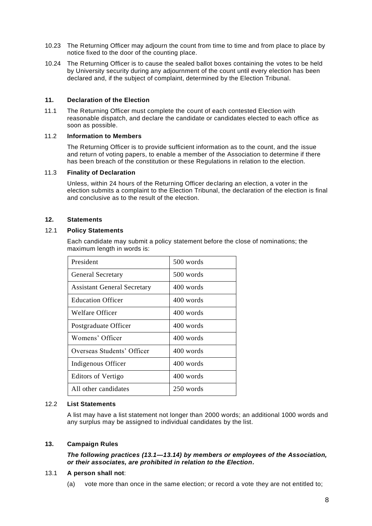- 10.23 The Returning Officer may adjourn the count from time to time and from place to place by notice fixed to the door of the counting place.
- 10.24 The Returning Officer is to cause the sealed ballot boxes containing the votes to be held by University security during any adjournment of the count until every election has been declared and, if the subject of complaint, determined by the Election Tribunal.

#### <span id="page-8-0"></span>**11. Declaration of the Election**

11.1 The Returning Officer must complete the count of each contested Election with reasonable dispatch, and declare the candidate or candidates elected to each office as soon as possible.

#### 11.2 **Information to Members**

The Returning Officer is to provide sufficient information as to the count, and the issue and return of voting papers, to enable a member of the Association to determine if there has been breach of the constitution or these Regulations in relation to the election.

#### 11.3 **Finality of Declaration**

Unless, within 24 hours of the Returning Officer declaring an election, a voter in the election submits a complaint to the Election Tribunal, the declaration of the election is final and conclusive as to the result of the election.

#### <span id="page-8-1"></span>**12. Statements**

# 12.1 **Policy Statements**

Each candidate may submit a policy statement before the close of nominations; the maximum length in words is:

| President                          | 500 words |  |  |
|------------------------------------|-----------|--|--|
| <b>General Secretary</b>           | 500 words |  |  |
| <b>Assistant General Secretary</b> | 400 words |  |  |
| <b>Education Officer</b>           | 400 words |  |  |
| Welfare Officer                    | 400 words |  |  |
| Postgraduate Officer               | 400 words |  |  |
| Womens' Officer                    | 400 words |  |  |
| Overseas Students' Officer         | 400 words |  |  |
| Indigenous Officer                 | 400 words |  |  |
| <b>Editors of Vertigo</b>          | 400 words |  |  |
| All other candidates               | 250 words |  |  |

#### 12.2 **List Statements**

A list may have a list statement not longer than 2000 words; an additional 1000 words and any surplus may be assigned to individual candidates by the list.

# <span id="page-8-2"></span>**13. Campaign Rules**

*The following practices (13.1—13.14) by members or employees of the Association, or their associates, are prohibited in relation to the Election.*

#### 13.1 **A person shall not**:

(a) vote more than once in the same election; or record a vote they are not entitled to;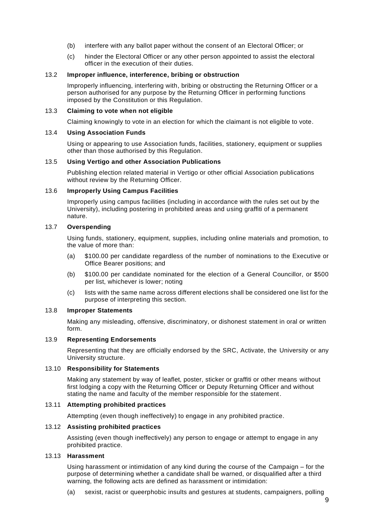- (b) interfere with any ballot paper without the consent of an Electoral Officer; or
- (c) hinder the Electoral Officer or any other person appointed to assist the electoral officer in the execution of their duties.

#### 13.2 **Improper influence, interference, bribing or obstruction**

Improperly influencing, interfering with, bribing or obstructing the Returning Officer or a person authorised for any purpose by the Returning Officer in performing functions imposed by the Constitution or this Regulation.

#### 13.3 **Claiming to vote when not eligible**

Claiming knowingly to vote in an election for which the claimant is not eligible to vote.

#### 13.4 **Using Association Funds**

Using or appearing to use Association funds, facilities, stationery, equipment or supplies other than those authorised by this Regulation.

#### 13.5 **Using Vertigo and other Association Publications**

Publishing election related material in Vertigo or other official Association publications without review by the Returning Officer.

#### 13.6 **Improperly Using Campus Facilities**

Improperly using campus facilities (including in accordance with the rules set out by the University), including postering in prohibited areas and using graffiti of a permanent nature.

#### 13.7 **Overspending**

Using funds, stationery, equipment, supplies, including online materials and promotion, to the value of more than:

- (a) \$100.00 per candidate regardless of the number of nominations to the Executive or Office Bearer positions; and
- (b) \$100.00 per candidate nominated for the election of a General Councillor, or \$500 per list, whichever is lower; noting
- (c) lists with the same name across different elections shall be considered one list for the purpose of interpreting this section.

#### 13.8 **Improper Statements**

Making any misleading, offensive, discriminatory, or dishonest statement in oral or written form.

#### 13.9 **Representing Endorsements**

Representing that they are officially endorsed by the SRC, Activate, the University or any University structure.

#### 13.10 **Responsibility for Statements**

Making any statement by way of leaflet, poster, sticker or graffiti or other means without first lodging a copy with the Returning Officer or Deputy Returning Officer and without stating the name and faculty of the member responsible for the statement.

#### 13.11 **Attempting prohibited practices**

Attempting (even though ineffectively) to engage in any prohibited practice.

#### 13.12 **Assisting prohibited practices**

Assisting (even though ineffectively) any person to engage or attempt to engage in any prohibited practice.

#### 13.13 **Harassment**

Using harassment or intimidation of any kind during the course of the Campaign – for the purpose of determining whether a candidate shall be warned, or disqualified after a third warning, the following acts are defined as harassment or intimidation:

(a) sexist, racist or queerphobic insults and gestures at students, campaigners, polling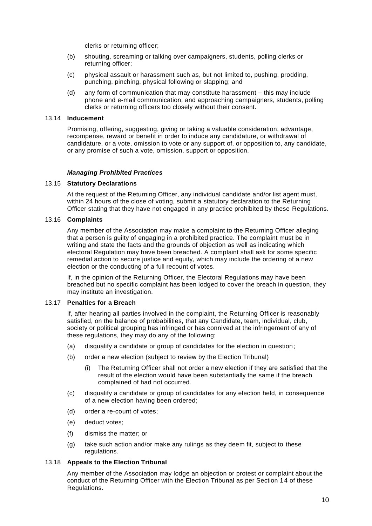clerks or returning officer;

- (b) shouting, screaming or talking over campaigners, students, polling clerks or returning officer;
- (c) physical assault or harassment such as, but not limited to, pushing, prodding, punching, pinching, physical following or slapping; and
- (d) any form of communication that may constitute harassment this may include phone and e-mail communication, and approaching campaigners, students, polling clerks or returning officers too closely without their consent.

#### 13.14 **Inducement**

Promising, offering, suggesting, giving or taking a valuable consideration, advantage, recompense, reward or benefit in order to induce any candidature, or withdrawal of candidature, or a vote, omission to vote or any support of, or opposition to, any candidate, or any promise of such a vote, omission, support or opposition.

#### *Managing Prohibited Practices*

#### 13.15 **Statutory Declarations**

At the request of the Returning Officer, any individual candidate and/or list agent must, within 24 hours of the close of voting, submit a statutory declaration to the Returning Officer stating that they have not engaged in any practice prohibited by these Regulations.

#### 13.16 **Complaints**

Any member of the Association may make a complaint to the Returning Officer alleging that a person is guilty of engaging in a prohibited practice. The complaint must be in writing and state the facts and the grounds of objection as well as indicating which electoral Regulation may have been breached. A complaint shall ask for some specific remedial action to secure justice and equity, which may include the ordering of a new election or the conducting of a full recount of votes.

If, in the opinion of the Returning Officer, the Electoral Regulations may have been breached but no specific complaint has been lodged to cover the breach in question, they may institute an investigation.

#### 13.17 **Penalties for a Breach**

If, after hearing all parties involved in the complaint, the Returning Officer is reasonably satisfied, on the balance of probabilities, that any Candidate, team, individual, club, society or political grouping has infringed or has connived at the infringement of any of these regulations, they may do any of the following:

- (a) disqualify a candidate or group of candidates for the election in question;
- (b) order a new election (subject to review by the Election Tribunal)
	- The Returning Officer shall not order a new election if they are satisfied that the result of the election would have been substantially the same if the breach complained of had not occurred.
- (c) disqualify a candidate or group of candidates for any election held, in consequence of a new election having been ordered;
- (d) order a re-count of votes;
- (e) deduct votes;
- (f) dismiss the matter; or
- (g) take such action and/or make any rulings as they deem fit, subject to these regulations.

#### 13.18 **Appeals to the Election Tribunal**

Any member of the Association may lodge an objection or protest or complaint about the conduct of the Returning Officer with the Election Tribunal as per Section 14 of these Regulations.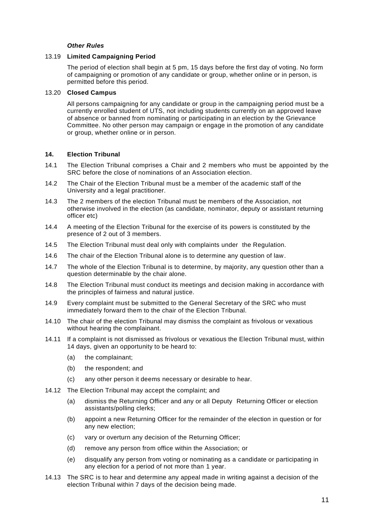#### *Other Rules*

#### 13.19 **Limited Campaigning Period**

The period of election shall begin at 5 pm, 15 days before the first day of voting. No form of campaigning or promotion of any candidate or group, whether online or in person, is permitted before this period.

#### 13.20 **Closed Campus**

All persons campaigning for any candidate or group in the campaigning period must be a currently enrolled student of UTS, not including students currently on an approved leave of absence or banned from nominating or participating in an election by the Grievance Committee. No other person may campaign or engage in the promotion of any candidate or group, whether online or in person.

#### <span id="page-11-0"></span>**14. Election Tribunal**

- 14.1 The Election Tribunal comprises a Chair and 2 members who must be appointed by the SRC before the close of nominations of an Association election.
- 14.2 The Chair of the Election Tribunal must be a member of the academic staff of the University and a legal practitioner.
- 14.3 The 2 members of the election Tribunal must be members of the Association, not otherwise involved in the election (as candidate, nominator, deputy or assistant returning officer etc)
- 14.4 A meeting of the Election Tribunal for the exercise of its powers is constituted by the presence of 2 out of 3 members.
- 14.5 The Election Tribunal must deal only with complaints under the Regulation.
- 14.6 The chair of the Election Tribunal alone is to determine any question of law.
- 14.7 The whole of the Election Tribunal is to determine, by majority, any question other than a question determinable by the chair alone.
- 14.8 The Election Tribunal must conduct its meetings and decision making in accordance with the principles of fairness and natural justice.
- 14.9 Every complaint must be submitted to the General Secretary of the SRC who must immediately forward them to the chair of the Election Tribunal.
- 14.10 The chair of the election Tribunal may dismiss the complaint as frivolous or vexatious without hearing the complainant.
- 14.11 If a complaint is not dismissed as frivolous or vexatious the Election Tribunal must, within 14 days, given an opportunity to be heard to:
	- (a) the complainant;
	- (b) the respondent; and
	- (c) any other person it deems necessary or desirable to hear.
- 14.12 The Election Tribunal may accept the complaint; and
	- (a) dismiss the Returning Officer and any or all Deputy Returning Officer or election assistants/polling clerks;
	- (b) appoint a new Returning Officer for the remainder of the election in question or for any new election;
	- (c) vary or overturn any decision of the Returning Officer;
	- (d) remove any person from office within the Association; or
	- (e) disqualify any person from voting or nominating as a candidate or participating in any election for a period of not more than 1 year.
- 14.13 The SRC is to hear and determine any appeal made in writing against a decision of the election Tribunal within 7 days of the decision being made.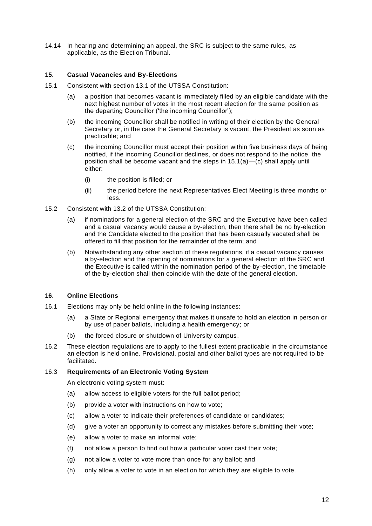14.14 In hearing and determining an appeal, the SRC is subject to the same rules, as applicable, as the Election Tribunal.

#### <span id="page-12-0"></span>**15. Casual Vacancies and By-Elections**

- 15.1 Consistent with section 13.1 of the UTSSA Constitution:
	- (a) a position that becomes vacant is immediately filled by an eligible candidate with the next highest number of votes in the most recent election for the same position as the departing Councillor ('the incoming Councillor');
	- (b) the incoming Councillor shall be notified in writing of their election by the General Secretary or, in the case the General Secretary is vacant, the President as soon as practicable; and
	- (c) the incoming Councillor must accept their position within five business days of being notified, if the incoming Councillor declines, or does not respond to the notice, the position shall be become vacant and the steps in  $15.1(a) - (c)$  shall apply until either:
		- (i) the position is filled; or
		- (ii) the period before the next Representatives Elect Meeting is three months or less.
- 15.2 Consistent with 13.2 of the UTSSA Constitution:
	- (a) if nominations for a general election of the SRC and the Executive have been called and a casual vacancy would cause a by-election, then there shall be no by-election and the Candidate elected to the position that has been casually vacated shall be offered to fill that position for the remainder of the term; and
	- (b) Notwithstanding any other section of these regulations, if a casual vacancy causes a by-election and the opening of nominations for a general election of the SRC and the Executive is called within the nomination period of the by-election, the timetable of the by-election shall then coincide with the date of the general election.

#### <span id="page-12-1"></span>**16. Online Elections**

- 16.1 Elections may only be held online in the following instances:
	- (a) a State or Regional emergency that makes it unsafe to hold an election in person or by use of paper ballots, including a health emergency; or
	- (b) the forced closure or shutdown of University campus.
- 16.2 These election regulations are to apply to the fullest extent practicable in the circumstance an election is held online. Provisional, postal and other ballot types are not required to be facilitated.

#### 16.3 **Requirements of an Electronic Voting System**

An electronic voting system must:

- (a) allow access to eligible voters for the full ballot period;
- (b) provide a voter with instructions on how to vote;
- (c) allow a voter to indicate their preferences of candidate or candidates;
- (d) give a voter an opportunity to correct any mistakes before submitting their vote;
- (e) allow a voter to make an informal vote;
- (f) not allow a person to find out how a particular voter cast their vote;
- (g) not allow a voter to vote more than once for any ballot; and
- (h) only allow a voter to vote in an election for which they are eligible to vote.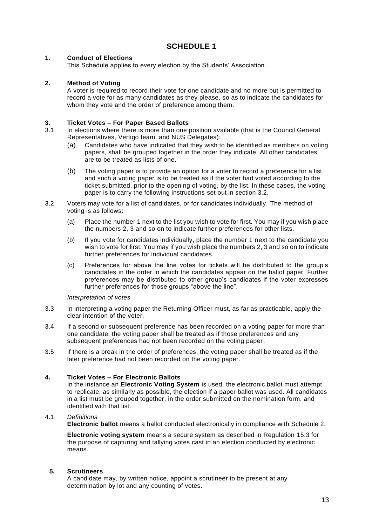# **SCHEDULE 1**

# <span id="page-13-0"></span>**1. Conduct of Elections**

This Schedule applies to every election by the Students' Association.

# **2. Method of Voting**

A voter is required to record their vote for one candidate and no more but is permitted to record a vote for as many candidates as they please, so as to indicate the candidates for whom they vote and the order of preference among them.

#### **3. Ticket Votes – For Paper Based Ballots**

- 3.1 In elections where there is more than one position available (that is the Council General Representatives, Vertigo team, and NUS Delegates):
	- (a) Candidates who have indicated that they wish to be identified as members on voting papers, shall be grouped together in the order they indicate. All other candidates are to be treated as lists of one.
	- (b) The voting paper is to provide an option for a voter to record a preference for a list and such a voting paper is to be treated as if the voter had voted according to the ticket submitted, prior to the opening of voting, by the list. In these cases, the voting paper is to carry the following instructions set out in section 3.2.
- 3.2 Voters may vote for a list of candidates, or for candidates individually. The method of voting is as follows:
	- (a) Place the number 1 next to the list you wish to vote for first. You may if you wish place the numbers 2, 3 and so on to indicate further preferences for other lists.
	- (b) If you vote for candidates individually, place the number 1 next to the candidate you wish to vote for first. You may if you wish place the numbers 2, 3 and so on to indicate further preferences for individual candidates.
	- (c) Preferences for above the line votes for tickets will be distributed to the group's candidates in the order in which the candidates appear on the ballot paper. Further preferences may be distributed to other group's candidates if the voter expresses further preferences for those groups "above the line".

#### *Interpretation of votes*

- 3.3 In interpreting a voting paper the Returning Officer must, as far as practicable, apply the clear intention of the voter.
- 3.4 If a second or subsequent preference has been recorded on a voting paper for more than one candidate, the voting paper shall be treated as if those preferences and any subsequent preferences had not been recorded on the voting paper.
- 3.5 If there is a break in the order of preferences, the voting paper shall be treated as if the later preference had not been recorded on the voting paper.

# **4. Ticket Votes – For Electronic Ballots**

In the instance an **Electronic Voting System** is used, the electronic ballot must attempt to replicate, as similarly as possible, the election if a paper ballot was used. All candidates in a list must be grouped together, in the order submitted on the nomination form, and identified with that list.

# 4.1 *Definitions*

**Electronic ballot** means a ballot conducted electronically in compliance with Schedule 2.

**Electronic voting system** means a secure system as described in Regulation 15.3 for the purpose of capturing and tallying votes cast in an election conducted by electronic means<sup>:</sup>

# **5. Scrutineers**

A candidate may, by written notice, appoint a scrutineer to be present at any determination by lot and any counting of votes.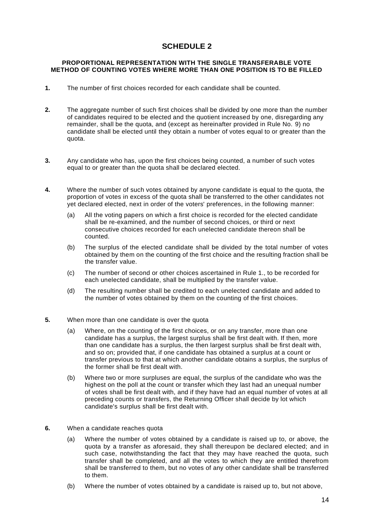# **SCHEDULE 2**

#### <span id="page-14-0"></span>**PROPORTIONAL REPRESENTATION WITH THE SINGLE TRANSFERABLE VOTE METHOD OF COUNTING VOTES WHERE MORE THAN ONE POSITION IS TO BE FILLED**

- **1.** The number of first choices recorded for each candidate shall be counted.
- **2.** The aggregate number of such first choices shall be divided by one more than the number of candidates required to be elected and the quotient increased by one, disregarding any remainder, shall be the quota, and (except as hereinafter provided in Rule No. 9) no candidate shall be elected until they obtain a number of votes equal to or greater than the quota.
- **3.** Any candidate who has, upon the first choices being counted, a number of such votes equal to or greater than the quota shall be declared elected.
- **4.** Where the number of such votes obtained by anyone candidate is equal to the quota, the proportion of votes in excess of the quota shall be transferred to the other candidates not yet declared elected, next in order of the voters' preferences, in the following manner:
	- (a) All the voting papers on which a first choice is recorded for the elected candidate shall be re-examined, and the number of second choices, or third or next consecutive choices recorded for each unelected candidate thereon shall be counted.
	- (b) The surplus of the elected candidate shall be divided by the total number of votes obtained by them on the counting of the first choice and the resulting fraction shall be the transfer value.
	- (c) The number of second or other choices ascertained in Rule 1., to be recorded for each unelected candidate, shall be multiplied by the transfer value.
	- (d) The resulting number shall be credited to each unelected candidate and added to the number of votes obtained by them on the counting of the first choices.
- **5.** When more than one candidate is over the quota
	- (a) Where, on the counting of the first choices, or on any transfer, more than one candidate has a surplus, the largest surplus shall be first dealt with. If then, more than one candidate has a surplus, the then largest surplus shall be first dealt with, and so on; provided that, if one candidate has obtained a surplus at a count or transfer previous to that at which another candidate obtains a surplus, the surplus of the former shall be first dealt with.
	- (b) Where two or more surpluses are equal, the surplus of the candidate who was the highest on the poll at the count or transfer which they last had an unequal number of votes shall be first dealt with, and if they have had an equal number of votes at all preceding counts or transfers, the Returning Officer shall decide by lot which candidate's surplus shall be first dealt with.
- **6.** When a candidate reaches quota
	- (a) Where the number of votes obtained by a candidate is raised up to, or above, the quota by a transfer as aforesaid, they shall thereupon be declared elected; and in such case, notwithstanding the fact that they may have reached the quota, such transfer shall be completed, and all the votes to which they are entitled therefrom shall be transferred to them, but no votes of any other candidate shall be transferred to them.
	- (b) Where the number of votes obtained by a candidate is raised up to, but not above,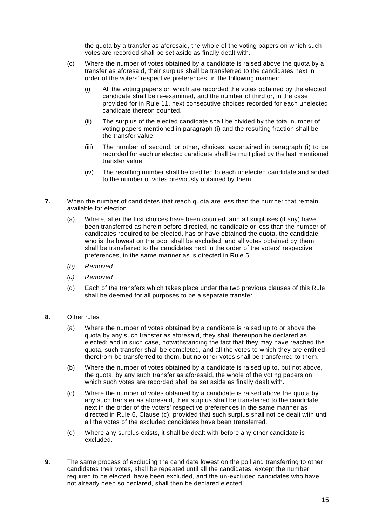the quota by a transfer as aforesaid, the whole of the voting papers on which such votes are recorded shall be set aside as finally dealt with.

- (c) Where the number of votes obtained by a candidate is raised above the quota by a transfer as aforesaid, their surplus shall be transferred to the candidates next in order of the voters' respective preferences, in the following manner:
	- (i) All the voting papers on which are recorded the votes obtained by the elected candidate shall be re-examined, and the number of third or, in the case provided for in Rule 11, next consecutive choices recorded for each unelected candidate thereon counted.
	- (ii) The surplus of the elected candidate shall be divided by the total number of voting papers mentioned in paragraph (i) and the resulting fraction shall be the transfer value.
	- (iii) The number of second, or other, choices, ascertained in paragraph (i) to be recorded for each unelected candidate shall be multiplied by the last mentioned transfer value.
	- (iv) The resulting number shall be credited to each unelected candidate and added to the number of votes previously obtained by them.
- **7.** When the number of candidates that reach quota are less than the number that remain available for election
	- (a) Where, after the first choices have been counted, and all surpluses (if any) have been transferred as herein before directed, no candidate or less than the number of candidates required to be elected, has or have obtained the quota, the candidate who is the lowest on the pool shall be excluded, and all votes obtained by them shall be transferred to the candidates next in the order of the voters' respective preferences, in the same manner as is directed in Rule 5.
	- *(b) Removed*
	- *(c) Removed*
	- (d) Each of the transfers which takes place under the two previous clauses of this Rule shall be deemed for all purposes to be a separate transfer
- **8.** Other rules
	- (a) Where the number of votes obtained by a candidate is raised up to or above the quota by any such transfer as aforesaid, they shall thereupon be declared as elected; and in such case, notwithstanding the fact that they may have reached the quota, such transfer shall be completed, and all the votes to which they are entitled therefrom be transferred to them, but no other votes shall be transferred to them.
	- (b) Where the number of votes obtained by a candidate is raised up to, but not above, the quota, by any such transfer as aforesaid, the whole of the voting papers on which such votes are recorded shall be set aside as finally dealt with.
	- (c) Where the number of votes obtained by a candidate is raised above the quota by any such transfer as aforesaid, their surplus shall be transferred to the candidate next in the order of the voters' respective preferences in the same manner as directed in Rule 6, Clause (c); provided that such surplus shall not be dealt with until all the votes of the excluded candidates have been transferred.
	- (d) Where any surplus exists, it shall be dealt with before any other candidate is excluded.
- **9.** The same process of excluding the candidate lowest on the poll and transferring to other candidates their votes, shall be repeated until all the candidates, except the number required to be elected, have been excluded, and the un-excluded candidates who have not already been so declared, shall then be declared elected.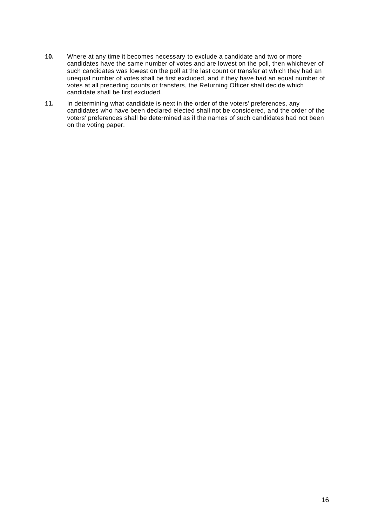- **10.** Where at any time it becomes necessary to exclude a candidate and two or more candidates have the same number of votes and are lowest on the poll, then whichever of such candidates was lowest on the poll at the last count or transfer at which they had an unequal number of votes shall be first excluded, and if they have had an equal number of votes at all preceding counts or transfers, the Returning Officer shall decide which candidate shall be first excluded.
- **11.** In determining what candidate is next in the order of the voters' preferences, any candidates who have been declared elected shall not be considered, and the order of the voters' preferences shall be determined as if the names of such candidates had not been on the voting paper.